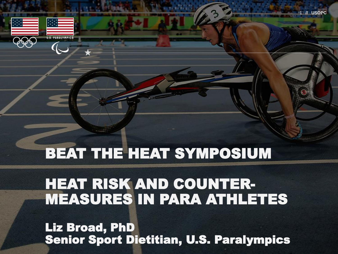

BEAT THE HEAT SYMPOSIUM

# HEAT RISK AND COUNTER-MEASURES IN PARA ATHLETES

Liz Broad, PhD Senior Sport Dietitian, U.S. Paralympics 1 **// USOPC**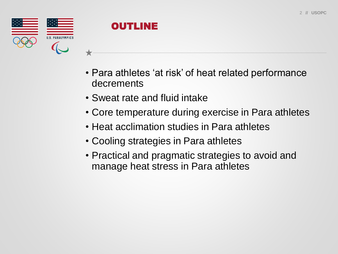



- Para athletes 'at risk' of heat related performance decrements
- Sweat rate and fluid intake
- Core temperature during exercise in Para athletes
- Heat acclimation studies in Para athletes
- Cooling strategies in Para athletes
- Practical and pragmatic strategies to avoid and manage heat stress in Para athletes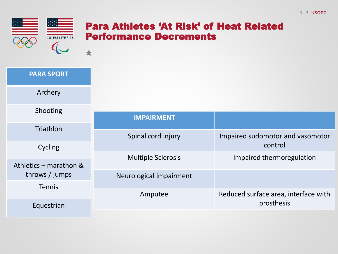

 $\overline{\phantom{a}}$ 

#### Para Athletes 'At Risk' of Heat Related Performance Decrements

| <b>PARA SPORT</b>      |
|------------------------|
| Archery                |
| Shooting               |
| <b>Triathlon</b>       |
| Cycling                |
| Athletics - marathon & |
| throws / jumps         |
| <b>Tennis</b>          |
| Equestrian             |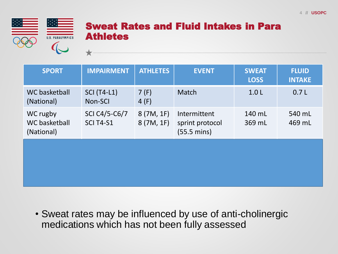

#### Sweat Rates and Fluid Intakes in Para Athletes

| <b>IMPAIRMENT</b>                 | <b>ATHLETES</b>        | <b>EVENT</b>                                             | <b>SWEAT</b><br><b>LOSS</b> | <b>FLUID</b><br><b>INTAKE</b> |
|-----------------------------------|------------------------|----------------------------------------------------------|-----------------------------|-------------------------------|
| <b>SCI (T4-L1)</b><br>Non-SCI     | 7(F)<br>4(F)           | Match                                                    | 1.0 <sub>L</sub>            | 0.7L                          |
| SCI C4/5-C6/7<br><b>SCI T4-S1</b> | 8(7M, 1F)<br>8(7M, 1F) | Intermittent<br>sprint protocol<br>$(55.5 \text{ mins})$ | 140 mL<br>369 mL            | 540 mL<br>469 mL              |
|                                   |                        |                                                          |                             |                               |
|                                   |                        |                                                          |                             |                               |

• Sweat rates may be influenced by use of anti-cholinergic medications which has not been fully assessed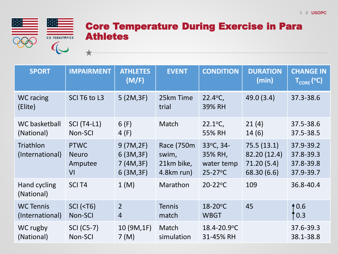

#### Core Temperature During Exercise in Para Athletes

| <b>SPORT</b>                        | <b>IMPAIRMENT</b>                            | <b>ATHLETES</b><br>(M/F)                         | <b>EVENT</b>                                    | <b>CONDITION</b>                                   | <b>DURATION</b><br>(min)                                | <b>CHANGE IN</b><br>$T_{\text{CORE}}$ (°C)       |
|-------------------------------------|----------------------------------------------|--------------------------------------------------|-------------------------------------------------|----------------------------------------------------|---------------------------------------------------------|--------------------------------------------------|
| <b>WC</b> racing<br>(Elite)         | SCI T6 to L3                                 | 5(2M, 3F)                                        | 25km Time<br>trial                              | 22.4°C,<br>39% RH                                  | 49.0(3.4)                                               | 37.3-38.6                                        |
| WC basketball<br>(National)         | <b>SCI (T4-L1)</b><br>Non-SCI                | 6(F)<br>4(F)                                     | Match                                           | $22.1^{\circ}C$ ,<br>55% RH                        | 21(4)<br>14(6)                                          | 37.5-38.6<br>37.5-38.5                           |
| Triathlon<br>(International)        | <b>PTWC</b><br><b>Neuro</b><br>Amputee<br>VI | 9(7M,2F)<br>6(3M, 3F)<br>7 (4M, 3F)<br>6(3M, 3F) | Race (750m<br>swim,<br>21km bike,<br>4.8km run) | 33°C, 34-<br>35% RH,<br>water temp<br>$25 - 27$ °C | 75.5(13.1)<br>82.20 (12.4)<br>71.20(5.4)<br>68.30 (6.6) | 37.9-39.2<br>37.8-39.3<br>37.8-39.8<br>37.9-39.7 |
| Hand cycling<br>(National)          | SCI <sub>T4</sub>                            | 1(M)                                             | Marathon                                        | $20 - 22$ °C                                       | 109                                                     | 36.8-40.4                                        |
| <b>WC Tennis</b><br>(International) | <b>SCI (<t6)< b=""><br/>Non-SCI</t6)<></b>   | $\overline{2}$<br>$\overline{4}$                 | <b>Tennis</b><br>match                          | 18-20°C<br><b>WBGT</b>                             | 45                                                      | 10.6<br>$\cdot$ 0.3                              |
| WC rugby<br>(National)              | <b>SCI (C5-7)</b><br>Non-SCI                 | 10 (9M,1F)<br>7(M)                               | Match<br>simulation                             | 18.4-20.9°C<br>31-45% RH                           |                                                         | 37.6-39.3<br>38.1-38.8                           |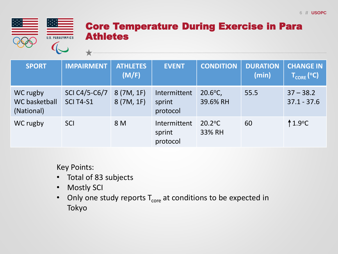

#### Core Temperature During Exercise in Para Athletes

| <b>SPORT</b>                                   | <b>IMPAIRMENT</b>                 | <b>ATHLETES</b><br>(M/F) | <b>EVENT</b>                       | <b>CONDITION</b>                | <b>DURATION</b><br>(min) | <b>CHANGE IN</b><br>$T_{\text{CORE}}$ (°C) |
|------------------------------------------------|-----------------------------------|--------------------------|------------------------------------|---------------------------------|--------------------------|--------------------------------------------|
| WC rugby<br><b>WC basketball</b><br>(National) | SCI C4/5-C6/7<br><b>SCI T4-S1</b> | 8(7M, 1F)<br>8(7M, 1F)   | Intermittent<br>sprint<br>protocol | $20.6^{\circ}$ C,<br>39.6% RH   | 55.5                     | $37 - 38.2$<br>$37.1 - 37.6$               |
| WC rugby                                       | <b>SCI</b>                        | 8 M                      | Intermittent<br>sprint<br>protocol | $20.2$ <sup>o</sup> C<br>33% RH | 60                       | $1.9$ °C                                   |

Key Points:

- Total of 83 subjects
- Mostly SCI
- Only one study reports  $T_{core}$  at conditions to be expected in Tokyo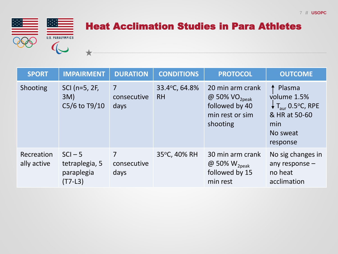

## Heat Acclimation Studies in Para Athletes

| <b>SPORT</b>              | <b>IMPAIRMENT</b>                                      | <b>DURATION</b>          | <b>CONDITIONS</b>          | <b>PROTOCOL</b>                                                                         | <b>OUTCOME</b>                                                                                                    |
|---------------------------|--------------------------------------------------------|--------------------------|----------------------------|-----------------------------------------------------------------------------------------|-------------------------------------------------------------------------------------------------------------------|
| Shooting                  | SCI (n=5, 2F,<br>3M)<br>C5/6 to T9/10                  | 7<br>consecutive<br>days | 33.4°C, 64.8%<br><b>RH</b> | 20 min arm crank<br>@ 50% $VO_{2peak}$<br>followed by 40<br>min rest or sim<br>shooting | Plasma<br>volume 1.5%<br>$\downarrow$ T <sub>aur</sub> 0.5°C, RPE<br>& HR at 50-60<br>min<br>No sweat<br>response |
| Recreation<br>ally active | $SCI - 5$<br>tetraplegia, 5<br>paraplegia<br>$(T7-L3)$ | 7<br>consecutive<br>days | 35°C, 40% RH               | 30 min arm crank<br>@ 50% $W_{2peak}$<br>followed by 15<br>min rest                     | No sig changes in<br>any response $-$<br>no heat<br>acclimation                                                   |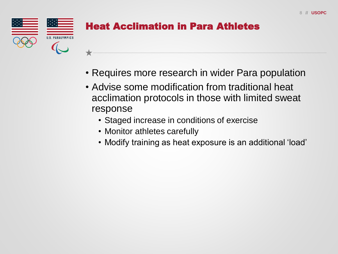

## Heat Acclimation in Para Athletes

• Requires more research in wider Para population

- Advise some modification from traditional heat acclimation protocols in those with limited sweat response
	- Staged increase in conditions of exercise
	- Monitor athletes carefully
	- Modify training as heat exposure is an additional 'load'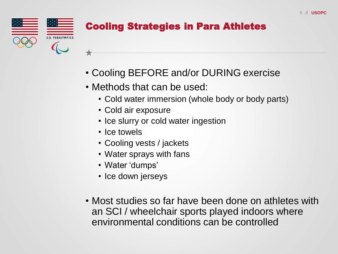

# Cooling Strategies in Para Athletes

- Cooling BEFORE and/or DURING exercise
- Methods that can be used:
	- Cold water immersion (whole body or body parts)
	- Cold air exposure
	- Ice slurry or cold water ingestion
	- Ice towels
	- Cooling vests / jackets
	- Water sprays with fans
	- Water 'dumps'
	- Ice down jerseys
- Most studies so far have been done on athletes with an SCI / wheelchair sports played indoors where environmental conditions can be controlled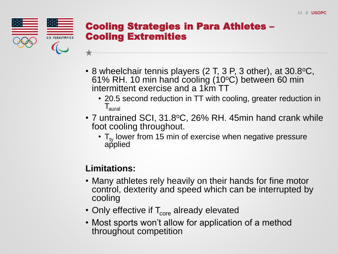

#### Cooling Strategies in Para Athletes – Cooling Extremities

- 8 wheelchair tennis players  $(2 \text{ T}, 3 \text{ P}, 3 \text{ other})$ , at  $30.8$ °C, 61% RH. 10 min hand cooling (10°C) between 60 min intermittent exercise and a 1km TT
	- 20.5 second reduction in TT with cooling, greater reduction in  $\mathsf{T}_{\mathsf{aural}}$
- 7 untrained SCI, 31.8°C, 26% RH. 45min hand crank while foot cooling throughout.
	- $\cdot$  T<sub>ty</sub> lower from 15 min of exercise when negative pressure applied

#### **Limitations:**

- Many athletes rely heavily on their hands for fine motor control, dexterity and speed which can be interrupted by cooling
- Only effective if  $T_{core}$  already elevated
- Most sports won't allow for application of a method throughout competition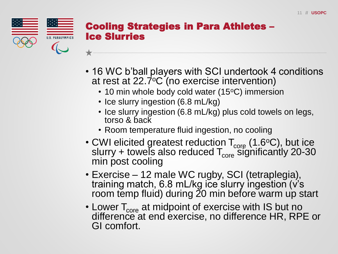

#### Cooling Strategies in Para Athletes – Ice Slurries

- 16 WC b'ball players with SCI undertook 4 conditions at rest at  $22.7^{\circ}$ C (no exercise intervention)
	- 10 min whole body cold water (15°C) immersion
	- Ice slurry ingestion (6.8 mL/kg)
	- Ice slurry ingestion (6.8 mL/kg) plus cold towels on legs, torso & back
	- Room temperature fluid ingestion, no cooling
- CWI elicited greatest reduction  $T_{core}$  (1.6°C), but ice slurry + towels also reduced  $T_{core}$  significantly 20-30 min post cooling
- Exercise 12 male WC rugby, SCI (tetraplegia), training match, 6.8 mL/kg ice slurry ingestion (v's room temp fluid) during 20 min before warm up start
- Lower  $T_{core}$  at midpoint of exercise with IS but no difference at end exercise, no difference HR, RPE or GI comfort.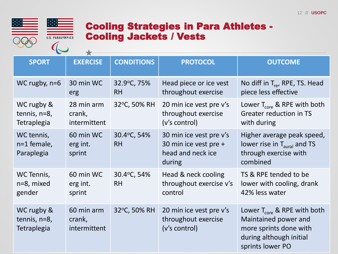

#### Cooling Strategies in Para Athletes - Cooling Jackets / Vests

| <b>SPORT</b>                                     | <b>EXERCISE</b>                      | <b>CONDITIONS</b>        | <b>PROTOCOL</b>                                                                 | <b>OUTCOME</b>                                                                                                                        |  |  |
|--------------------------------------------------|--------------------------------------|--------------------------|---------------------------------------------------------------------------------|---------------------------------------------------------------------------------------------------------------------------------------|--|--|
| WC rugby, $n=6$                                  | 30 min WC<br>erg                     | 32.9°C, 75%<br><b>RH</b> | Head piece or ice vest<br>throughout exercise                                   | No diff in $T_{\text{re}}$ , RPE, TS. Head<br>piece less effective                                                                    |  |  |
| WC rugby &<br>tennis, n=8,<br>Tetraplegia        | 28 min arm<br>crank,<br>intermittent | 32°C, 50% RH             | 20 min ice vest pre v's<br>throughout exercise<br>(v's control)                 | Lower $T_{core}$ & RPE with both<br><b>Greater reduction in TS</b><br>with during                                                     |  |  |
| WC tennis,<br>n=1 female,<br>Paraplegia          | 60 min WC<br>erg int.<br>sprint      | 30.4°C, 54%<br><b>RH</b> | 30 min ice vest pre v's<br>30 min ice vest pre +<br>head and neck ice<br>during | Higher average peak speed,<br>lower rise in $T_{\text{aural}}$ and TS<br>through exercise with<br>combined                            |  |  |
| WC Tennis,<br>n=8, mixed<br>gender               | 60 min WC<br>erg int.<br>sprint      | 30.4°C, 54%<br><b>RH</b> | Head & neck cooling<br>throughout exercise v's<br>control                       | TS & RPE tended to be<br>lower with cooling, drank<br>42% less water                                                                  |  |  |
| WC rugby &<br>tennis, n=8,<br><b>Tetraplegia</b> | 60 min arm<br>crank,<br>intermittent | 32°C, 50% RH             | 20 min ice vest pre v's<br>throughout exercise<br>(v's control)                 | Lower $T_{\rm core}$ & RPE with both<br>Maintained power and<br>more sprints done with<br>during although initial<br>sprints lower PO |  |  |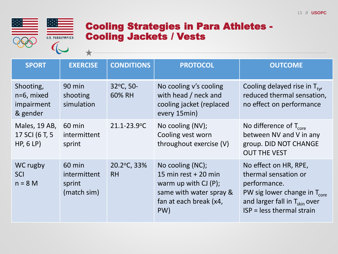

#### Cooling Strategies in Para Athletes - Cooling Jackets / Vests

| <b>SPORT</b>                                      | <b>EXERCISE</b>                                 | <b>CONDITIONS</b>        | <b>PROTOCOL</b>                                                                                                                 | <b>OUTCOME</b>                                                                                                                                                                        |
|---------------------------------------------------|-------------------------------------------------|--------------------------|---------------------------------------------------------------------------------------------------------------------------------|---------------------------------------------------------------------------------------------------------------------------------------------------------------------------------------|
| Shooting,<br>n=6, mixed<br>impairment<br>& gender | 90 min<br>shooting<br>simulation                | 32°C, 50-<br>60% RH      | No cooling v's cooling<br>with head / neck and<br>cooling jacket (replaced<br>every 15min)                                      | Cooling delayed rise in $T_{\text{tv}}$<br>reduced thermal sensation,<br>no effect on performance                                                                                     |
| Males, 19 AB,<br>17 SCI (6 T, 5<br>HP, 6 LP       | 60 min<br>intermittent<br>sprint                | 21.1-23.9°C              | No cooling (NV);<br>Cooling vest worn<br>throughout exercise (V)                                                                | No difference of $T_{core}$<br>between NV and V in any<br>group. DID NOT CHANGE<br><b>OUT THE VEST</b>                                                                                |
| WC rugby<br>SCI<br>$n = 8 M$                      | 60 min<br>intermittent<br>sprint<br>(match sim) | 20.2°C, 33%<br><b>RH</b> | No cooling (NC);<br>15 min rest $+20$ min<br>warm up with $CI(P)$ ;<br>same with water spray &<br>fan at each break (x4,<br>PW) | No effect on HR, RPE,<br>thermal sensation or<br>performance.<br>PW sig lower change in $T_{\text{core}}$<br>and larger fall in $T_{\text{skin}}$ over<br>$ISP = less thermal strain$ |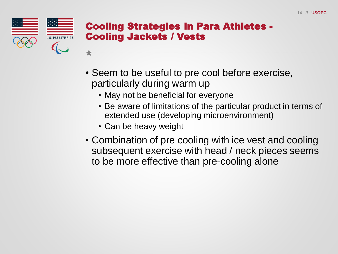

#### Cooling Strategies in Para Athletes - Cooling Jackets / Vests

- Seem to be useful to pre cool before exercise, particularly during warm up
	- May not be beneficial for everyone
	- Be aware of limitations of the particular product in terms of extended use (developing microenvironment)
	- Can be heavy weight
- Combination of pre cooling with ice vest and cooling subsequent exercise with head / neck pieces seems to be more effective than pre-cooling alone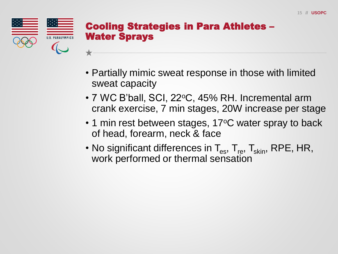

#### Cooling Strategies in Para Athletes – Water Sprays

- Partially mimic sweat response in those with limited sweat capacity
- $\cdot$  7 WC B'ball, SCI, 22 $\circ$ C, 45% RH. Incremental arm crank exercise, 7 min stages, 20W increase per stage
- $\cdot$  1 min rest between stages, 17 $\mathrm{^{\circ}C}$  water spray to back of head, forearm, neck & face
- No significant differences in  $T_{es}$ ,  $T_{res}$ ,  $T_{skin}$ , RPE, HR, work performed or thermal sensation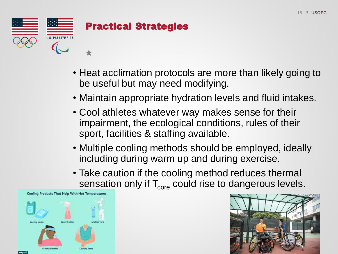

- Heat acclimation protocols are more than likely going to be useful but may need modifying.
- Maintain appropriate hydration levels and fluid intakes.
- Cool athletes whatever way makes sense for their impairment, the ecological conditions, rules of their sport, facilities & staffing available.
- Multiple cooling methods should be employed, ideally including during warm up and during exercise.
- Take caution if the cooling method reduces thermal sensation only if  $T_{core}$  could rise to dangerous levels.